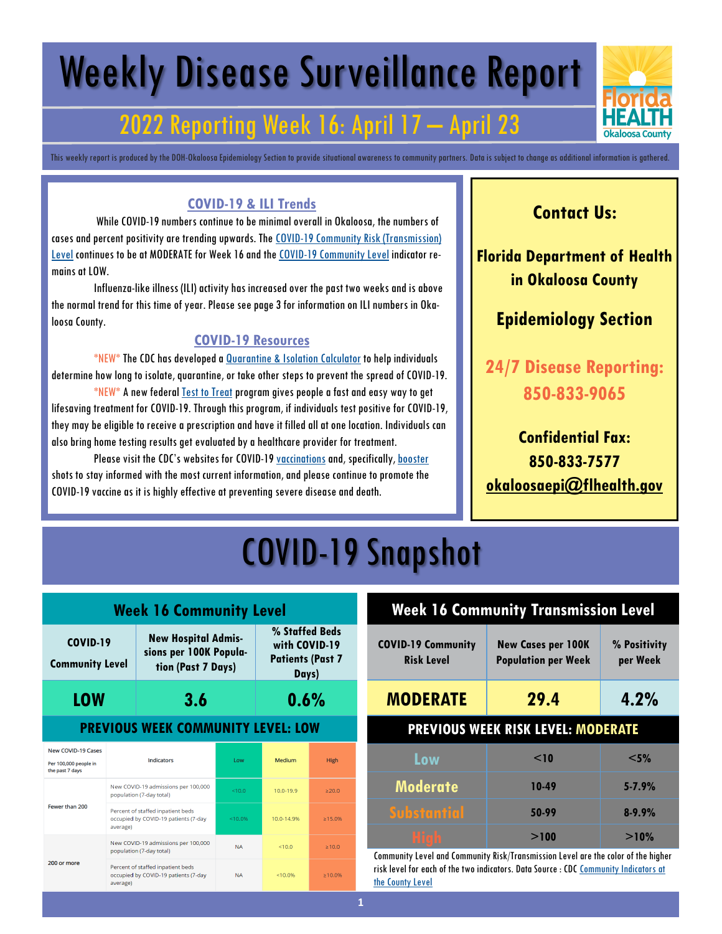# Weekly Disease Surveillance Report

### 2022 Reporting Week 16: April 17 – April 23

This weekly report is produced by the DOH-Okaloosa Epidemiology Section to provide situational awareness to community partners. Data is subject to change as additional information is gathered.

#### **COVID-19 & ILI Trends**

While COVID-19 numbers continue to be minimal overall in Okaloosa, the numbers of cases and percent positivity are trending upwards. The [COVID-19 Community Risk \(Transmission\)](https://covid.cdc.gov/covid-data-tracker/#county-view?list_select_state=Florida&data-type=Risk&list_select_county=12091)  [Level](https://covid.cdc.gov/covid-data-tracker/#county-view?list_select_state=Florida&data-type=Risk&list_select_county=12091) continues to be at MODERATE for Week 16 and the [COVID-19 Community Level](https://www.cdc.gov/coronavirus/2019-ncov/science/community-levels.html) indicator remains at LOW.

Influenza-like illness (ILI) activity has increased over the past two weeks and is above the normal trend for this time of year. Please see page 3 for information on ILI numbers in Okaloosa County.

#### **COVID-19 Resources**

\*NEW\* The CDC has developed a [Quarantine & Isolation Calculator](https://www.cdc.gov/coronavirus/2019-ncov/your-health/quarantine-isolation.html) to help individuals determine how long to isolate, quarantine, or take other steps to prevent the spread of COVID-19.

\*NEW\* A new federal [Test to Treat](https://aspr.hhs.gov/TestToTreat/Pages/default.aspx?ACSTrackingID=USCDC_1052-DM76108&ACSTrackingLabel=COCA%20Now%3A%20New%20COVID-19%20Test%20to%20Treat%20Initiative%20and%20Locator%20Tool&deliveryName=USCDC_1052-DM76108) program gives people a fast and easy way to get lifesaving treatment for COVID-19. Through this program, if individuals test positive for COVID-19, they may be eligible to receive a prescription and have it filled all at one location. Individuals can also bring home testing results get evaluated by a healthcare provider for treatment.

Please visit the CDC's websites for COVID-19 [vaccinations](https://www.cdc.gov/coronavirus/2019-ncov/vaccines/expect.html) and, specifically, [booster](https://www.cdc.gov/coronavirus/2019-ncov/vaccines/booster-shot.html) shots to stay informed with the most current information, and please continue to promote the COVID-19 vaccine as it is highly effective at preventing severe disease and death.

### **Contact Us:**

**Florida Department of Health in Okaloosa County**

### **Epidemiology Section**

**24/7 Disease Reporting: 850-833-9065**

### **Confidential Fax: 850-833-7577 [okaloosaepi@flhealth.gov](mailto:okaloosaepi@flhealth.gov)**

## COVID-19 Snapshot

| <b>Week 16 Community Level</b>                                        |                                                                                       |                                                                            |           |                                                                     |               |
|-----------------------------------------------------------------------|---------------------------------------------------------------------------------------|----------------------------------------------------------------------------|-----------|---------------------------------------------------------------------|---------------|
| <b>COVID-19</b><br><b>Community Level</b>                             |                                                                                       | <b>New Hospital Admis-</b><br>sions per 100K Popula-<br>tion (Past 7 Days) |           | % Staffed Beds<br>with COVID-19<br><b>Patients (Past 7</b><br>Days) |               |
| <b>LOW</b>                                                            |                                                                                       | 3.6                                                                        |           | 0.6%                                                                |               |
| <b>PREVIOUS WEEK COMMUNITY LEVEL: LOW</b>                             |                                                                                       |                                                                            |           |                                                                     |               |
| <b>New COVID-19 Cases</b><br>Per 100,000 people in<br>the past 7 days | <b>Indicators</b>                                                                     |                                                                            | Low       | Medium                                                              | <b>High</b>   |
| Fewer than 200                                                        |                                                                                       | New COVID-19 admissions per 100,000<br>population (7-day total)            | < 10.0    | $10.0 - 19.9$                                                       | >20.0         |
|                                                                       | Percent of staffed inpatient beds<br>occupied by COVID-19 patients (7-day<br>average) |                                                                            | < 10.0%   | 10.0-14.9%                                                          | >15.0%        |
| 200 or more                                                           |                                                                                       | New COVID-19 admissions per 100,000<br>population (7-day total)            |           | < 10.0                                                              | >10.0         |
|                                                                       | Percent of staffed inpatient beds<br>occupied by COVID-19 patients (7-day<br>average) |                                                                            | <b>NA</b> | < 10.0%                                                             | $\geq 10.0\%$ |

| <b>Week 16 Community Transmission Level</b>    |                                                         |                          |  |  |
|------------------------------------------------|---------------------------------------------------------|--------------------------|--|--|
| <b>COVID-19 Community</b><br><b>Risk Level</b> | <b>New Cases per 100K</b><br><b>Population per Week</b> | % Positivity<br>per Week |  |  |
| <b>MODERATE</b>                                | 29.4                                                    | 4.2%                     |  |  |
| <b>PREVIOUS WEEK RISK LEVEL: MODERATE</b>      |                                                         |                          |  |  |
| Low                                            | < 10                                                    | $<$ 5%                   |  |  |
| <b>Moderate</b>                                | 10-49                                                   | $5 - 7.9%$               |  |  |
| <b>Substantial</b>                             | 50-99                                                   | $8 - 9.9%$               |  |  |
| Hiaf                                           | >100                                                    | >10%                     |  |  |

Community Level and Community Risk/Transmission Level are the color of the higher risk level for each of the two indicators. Data Source : CDC [Community Indicators at](https://covid.cdc.gov/covid-data-tracker/#county-view?list_select_state=Florida&data-type=Risk&list_select_county=12091)  [the County Level](https://covid.cdc.gov/covid-data-tracker/#county-view?list_select_state=Florida&data-type=Risk&list_select_county=12091)

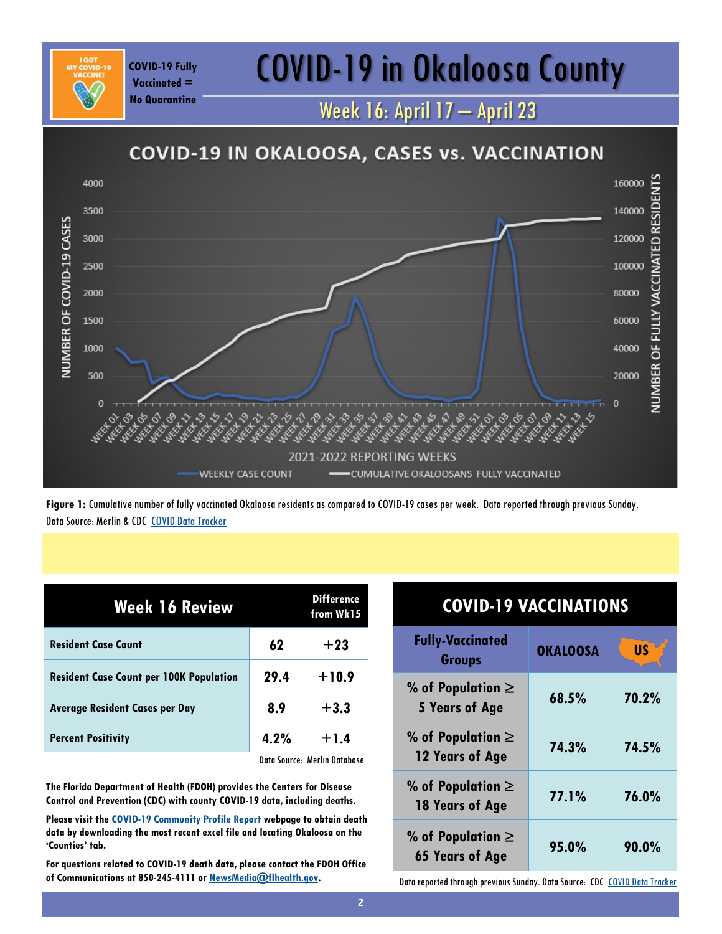## COVID-19 Fully **COVID-19 in Okaloosa County**

Week 16: April 17 – April 23

#### **COVID-19 IN OKALOOSA, CASES vs. VACCINATION** NUMBER OF FULLY VACCINATED RESIDENTS 160000 4000 3500 140000 NUMBER OF COVID-19 CASES 3000 120000 2500 100000 2000 80000 1500 60000 40000 1000 500 20000  $\Omega$ 2021-2022 REPORTING WEEKS **WEEKLY CASE COUNT** CUMULATIVE OKALOOSANS FULLY VACCINATED

**Figure 1:** Cumulative number of fully vaccinated Okaloosa residents as compared to COVID-19 cases per week. Data reported through previous Sunday. Data Source: Merlin & CDC [COVID Data Tracker](https://covid.cdc.gov/covid-data-tracker/#vaccinations)

| Week 16 Review                                 | <b>Difference</b><br>from Wk15 |                              |
|------------------------------------------------|--------------------------------|------------------------------|
| 62<br><b>Resident Case Count</b>               |                                | $+23$                        |
| <b>Resident Case Count per 100K Population</b> | 29.4                           | $+10.9$                      |
| <b>Average Resident Cases per Day</b>          | 8.9                            | $+3.3$                       |
| <b>Percent Positivity</b>                      | 4.2%                           | $+1.4$                       |
|                                                |                                | Data Source: Merlin Database |

**Vaccinated = No Quarantine**

**The Florida Department of Health (FDOH) provides the Centers for Disease Control and Prevention (CDC) with county COVID-19 data, including deaths.** 

**Please visit the [COVID-19 Community Profile Report](https://healthdata.gov/Health/COVID-19-Community-Profile-Report/gqxm-d9w9) webpage to obtain death data by downloading the most recent excel file and locating Okaloosa on the 'Counties' tab.** 

**For questions related to COVID-19 death data, please contact the FDOH Office of Communications at 850-245-4111 or [NewsMedia@flhealth.gov.](mailto:NewsMedia@flhealth.gov)**

| <b>COVID-19 VACCINATIONS</b>                                               |                 |           |  |
|----------------------------------------------------------------------------|-----------------|-----------|--|
| <b>Fully-Vaccinated</b><br><b>Groups</b>                                   | <b>OKALOOSA</b> | <b>US</b> |  |
| % of Population $\ge$<br><b>5 Years of Age</b>                             | 68.5%           | 70.2%     |  |
| % of Population $\ge$<br>12 Years of Age                                   | 74.3%           | 74.5%     |  |
| % of Population $\ge$<br>18 Years of Age                                   | 77.1%           | 76.0%     |  |
| % of Population $\ge$<br>90.0%<br>95.0%<br><b>65 Years of Age</b>          |                 |           |  |
| Data reported through previous Sunday. Data Source: CDC COVID Data Tracker |                 |           |  |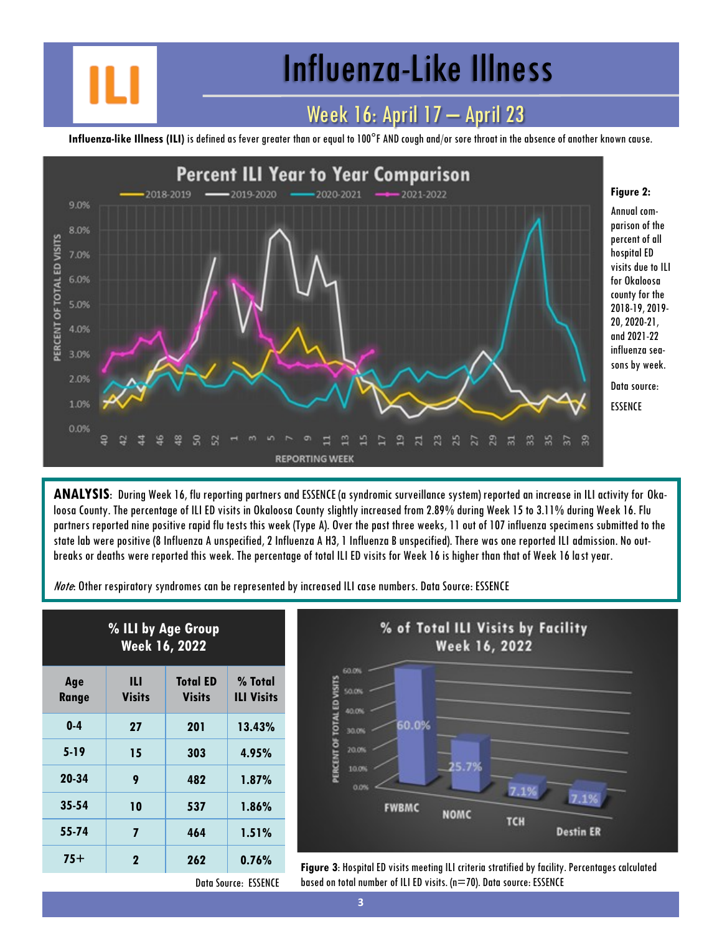## Influenza-Like Illness

### Week 16: April 17 – April 23

**Influenza-like Illness (ILI)** is defined as fever greater than or equal to 100°F AND cough and/or sore throat in the absence of another known cause.



**ANALYSIS**: During Week 16, flu reporting partners and ESSENCE (a syndromic surveillance system) reported an increase in ILI activity for Okaloosa County. The percentage of ILI ED visits in Okaloosa County slightly increased from 2.89% during Week 15 to 3.11% during Week 16. Flu partners reported nine positive rapid flu tests this week (Type A). Over the past three weeks, 11 out of 107 influenza specimens submitted to the state lab were positive (8 Influenza A unspecified, 2 Influenza A H3, 1 Influenza B unspecified). There was one reported ILI admission. No outbreaks or deaths were reported this week. The percentage of total ILI ED visits for Week 16 is higher than that of Week 16 last year.

Note: Other respiratory syndromes can be represented by increased ILI case numbers. Data Source: ESSENCE

| % ILI by Age Group<br><b>Week 16, 2022</b> |                    |                                  |                              |  |
|--------------------------------------------|--------------------|----------------------------------|------------------------------|--|
| Age<br>Range                               | Ш<br><b>Visits</b> | <b>Total ED</b><br><b>Visits</b> | % Total<br><b>ILI Visits</b> |  |
| $0-4$                                      | 27                 | 201                              | 13.43%                       |  |
| $5 - 19$                                   | 15                 | 303                              | 4.95%                        |  |
| 20-34                                      | 9                  | 482                              | 1.87%                        |  |
| $35 - 54$                                  | 10                 | 537                              | 1.86%                        |  |
| 55-74                                      | 7                  | 464                              | 1.51%                        |  |
| $75+$                                      | 2                  | 262                              | 0.76%                        |  |



**75+ <sup>2</sup> <sup>262</sup> 0.76% Figure 3**: Hospital ED visits meeting ILI criteria stratified by facility. Percentages calculated based on total number of ILI ED visits. (n=70). Data source: ESSENCE

Data Source: ESSENCE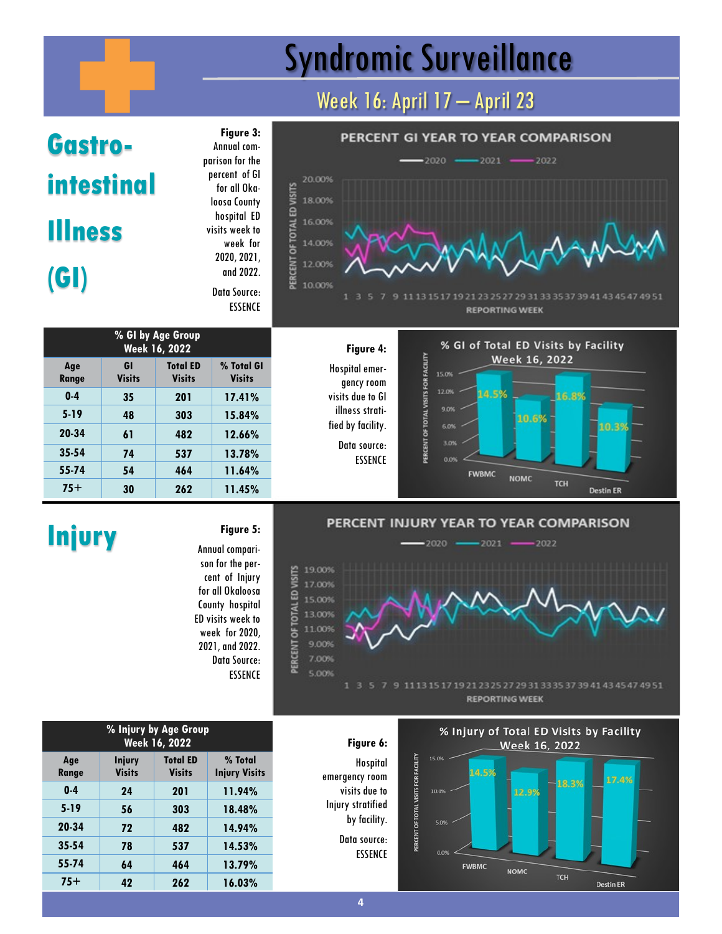# Syndromic Surveillance

### Week 16: April 17 – April 23

# **Gastrointestinal Illness (GI)**

**Figure 3:**  Annual comparison for the percent of GI for all Okaloosa County hospital ED visits week to week for 2020, 2021, and 2022. Data Source:

PERCENT OF TOTAL ED VISITS

ESSENCE







 $-2022$ 

**Destin ER** 

#### PERCENT INJURY YEAR TO YEAR COMPARISON

 $-2021$ 

**Injury Figure 5:** Annual comparison for the percent of Injury for all Okaloosa County hospital ED visits week to week for 2020, 2021, and 2022. Data Source: **ESSENCE** 

 $-2020$ 

E 19.00%<br>
S 17.00%<br>
a 15.00%<br>
a 15.00%<br>
a 11.00%<br>
a 9.00%<br>
5.00% 5.00% 1113 15 17 19 21 23 25 27 29 31 33 35 37 39 41 43 45 47 49 51





| % Injury by Age Group<br>Week 16, 2022 |                                |                                  |                                 |  |
|----------------------------------------|--------------------------------|----------------------------------|---------------------------------|--|
| Age<br>Range                           | <b>Injury</b><br><b>Visits</b> | <b>Total ED</b><br><b>Visits</b> | % Total<br><b>Injury Visits</b> |  |
| $0-4$                                  | 24                             | 201                              | 11.94%                          |  |
| $5 - 19$                               | 56                             | 303                              | 18.48%                          |  |
| 20-34                                  | 72                             | 482                              | 14.94%                          |  |
| $35 - 54$                              | 78                             | 537                              | 14.53%                          |  |
| 55-74                                  | 64                             | 464                              | 13.79%                          |  |
| $75+$                                  | 42                             | 262                              | 16.03%                          |  |

#### **4**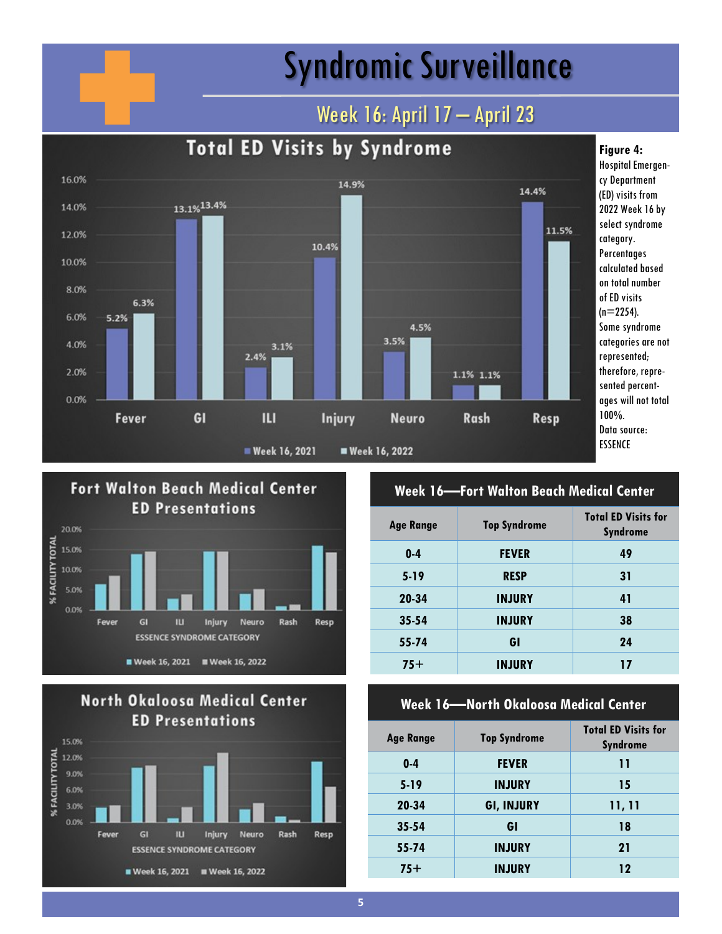## Syndromic Surveillance

### Week 16: April 17 - April 23







#### **Week 16—Fort Walton Beach Medical Center**

| <b>Age Range</b> | <b>Top Syndrome</b> | <b>Total ED Visits for</b><br><b>Syndrome</b> |
|------------------|---------------------|-----------------------------------------------|
| $0-4$            | <b>FEVER</b>        | 49                                            |
| $5-19$           | <b>RESP</b>         | 31                                            |
| 20-34            | <b>INJURY</b>       | 41                                            |
| $35 - 54$        | <b>INJURY</b>       | 38                                            |
| 55-74            | GI                  | 24                                            |
| $75+$            | <b>INJURY</b>       | 17                                            |

#### **Week 16—North Okaloosa Medical Center**

| <b>Age Range</b> | <b>Top Syndrome</b> | <b>Total ED Visits for</b><br><b>Syndrome</b> |
|------------------|---------------------|-----------------------------------------------|
| $0 - 4$          | <b>FEVER</b>        | 11                                            |
| $5-19$           | <b>INJURY</b>       | 15                                            |
| 20-34            | <b>GI, INJURY</b>   | 11, 11                                        |
| $35 - 54$        | GI                  | 18                                            |
| 55-74            | <b>INJURY</b>       | 21                                            |
| $75+$            | <b>INJURY</b>       | 12                                            |